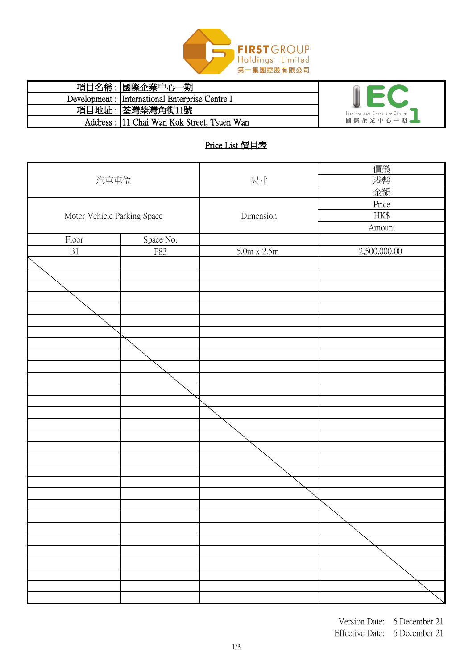

| 項目名稱: | 國際企業中心一期                                        |                                 |
|-------|-------------------------------------------------|---------------------------------|
|       | Development : International Enterprise Centre I |                                 |
|       | 項目地址: 荃灣柴灣角街11號                                 | INTERNATIONAL ENTERPRISE CENTRE |
|       | Address: 111 Chai Wan Kok Street, Tsuen Wan     | 國際企業中心一期。                       |

# Price List 價目表

|                             |           |                    | 價錢           |
|-----------------------------|-----------|--------------------|--------------|
| 汽車車位                        |           | 呎寸                 | 港幣           |
|                             |           |                    | 金額           |
|                             |           |                    | Price        |
|                             |           | Dimension          | HK\$         |
| Motor Vehicle Parking Space |           |                    |              |
|                             |           |                    | Amount       |
| Floor                       | Space No. |                    |              |
| $\rm B1$                    | F83       | $5.0m \times 2.5m$ | 2,500,000.00 |
|                             |           |                    |              |
|                             |           |                    |              |
|                             |           |                    |              |
|                             |           |                    |              |
|                             |           |                    |              |
|                             |           |                    |              |
|                             |           |                    |              |
|                             |           |                    |              |
|                             |           |                    |              |
|                             |           |                    |              |
|                             |           |                    |              |
|                             |           |                    |              |
|                             |           |                    |              |
|                             |           |                    |              |
|                             |           |                    |              |
|                             |           |                    |              |
|                             |           |                    |              |
|                             |           |                    |              |
|                             |           |                    |              |
|                             |           |                    |              |
|                             |           |                    |              |
|                             |           |                    |              |
|                             |           |                    |              |
|                             |           |                    |              |
|                             |           |                    |              |
|                             |           |                    |              |
|                             |           |                    |              |
|                             |           |                    |              |
|                             |           |                    |              |
|                             |           |                    |              |
|                             |           |                    |              |
|                             |           |                    |              |

Version Date: 6 December 21 Effective Date: 6 December 21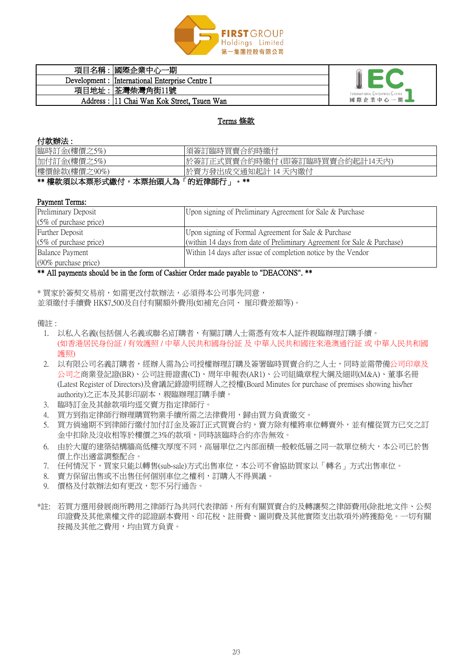### 付款辦法 :

#### Payment Terms:

\* 買家於簽契交易前,如需更改付款辦法,必須得本公司事先同意, 並須繳付手續費 HK\$7,500及自付有關額外費用(如補充合同、 厘印費差額等)。



| 項目名稱  | 國際企業中心一期                                        |                                 |
|-------|-------------------------------------------------|---------------------------------|
|       | Development : International Enterprise Centre I |                                 |
| 項目地址: | 荃灣柴灣角街11號                                       | INTERNATIONAL ENTERPRISE CENTRE |
|       | Address : 11 Chai Wan Kok Street, Tsuen Wan     | 國際企業中心一期。                       |

# 備註 :

### Terms 條款

| 臨時訂金(樓價之5%)  | 須簽訂臨時買賣合約時繳付                  |  |
|--------------|-------------------------------|--|
| 加付訂金(樓價之5%)  | 於簽訂正式買賣合約時繳付(即簽訂臨時買賣合約起計14天內) |  |
| 樓價餘款(樓價之90%) | 於賣方發出成交通知起計 14 天内繳付           |  |
| 色<br>「的近律師行」 |                               |  |

|安秋須以一个示形| 後期のので、今日の大人の

- 1. 以私人名義(包括個人名義或聯名)訂購者,有關訂購人士需憑有效本人証件親臨辦理訂購手續。 (如香港居民身份証 / 有效護照 / 中華人民共和國身份証 及 中華人民共和國往來港澳通行証 或 中華人民共和國 護照)
- 2. 以有限公司名義訂購者,經辦人需為公司授權辦理訂購及簽署臨時買賣合約之人士,同時並需帶備公司印章及 公司之商業登記證(BR)、公司註冊證書(CI)、周年申報表(AR1)、公司組織章程大綱及細則(M&A)、董事名冊 (Latest Register of Directors)及會議記錄證明經辦人之授權(Board Minutes for purchase of premises showing his/her authority)之正本及其影印副本,親臨辦理訂購手續。
- 3. 臨時訂金及其餘款項均逕交賣方指定律師行。
- 4. 買方到指定律師行辦理購買物業手續所需之法律費用,歸由買方負責繳交。
- 5. 買方倘逾期不到律師行繳付加付訂金及簽訂正式買賣合約,賣方除有權將車位轉賣外,並有權從買方已交之訂 金中扣除及沒收相等於樓價之3%的款項,同時該臨時合約亦告無效。
- 6. 由於大廈的建築結構牆高低樓次厚度不同,高層單位之內部面積一般較低層之同一款單位稍大,本公司已於售 價上作出適當調整配合。
- 7. 任何情況下,買家只能以轉售(sub-sale)方式出售車位,本公司不會協助買家以「轉名」方式出售車位。
- 8. 賣方保留出售或不出售任何個別車位之權利,訂購人不得異議。
- 9. 價格及付款辦法如有更改,恕不另行通告。
- \*註: 若買方選用發展商所聘用之律師行為共同代表律師,所有有關買賣合約及轉讓契之律師費用(除批地文件、公契 印證費及其他業權文件的認證副本費用、印花稅、註冊費、圖則費及其他實際支出款項外)將獲豁免。一切有關 按揭及其他之費用,均由買方負責。

| <b>Preliminary Deposit</b>        | Upon signing of Preliminary Agreement for Sale & Purchase                  |  |
|-----------------------------------|----------------------------------------------------------------------------|--|
| $(5\% \text{ of purchase price})$ |                                                                            |  |
| Further Deposit                   | Upon signing of Formal Agreement for Sale & Purchase                       |  |
| $(5\% \text{ of purchase price})$ | (within 14 days from date of Preliminary Agreement for Sale $\&$ Purchase) |  |
| <b>Balance Payment</b>            | Within 14 days after issue of completion notice by the Vendor              |  |
| $(90\%$ purchase price)           |                                                                            |  |

\*\* All payments should be in the form of Cashier Order made payable to "DEACONS". \*\*